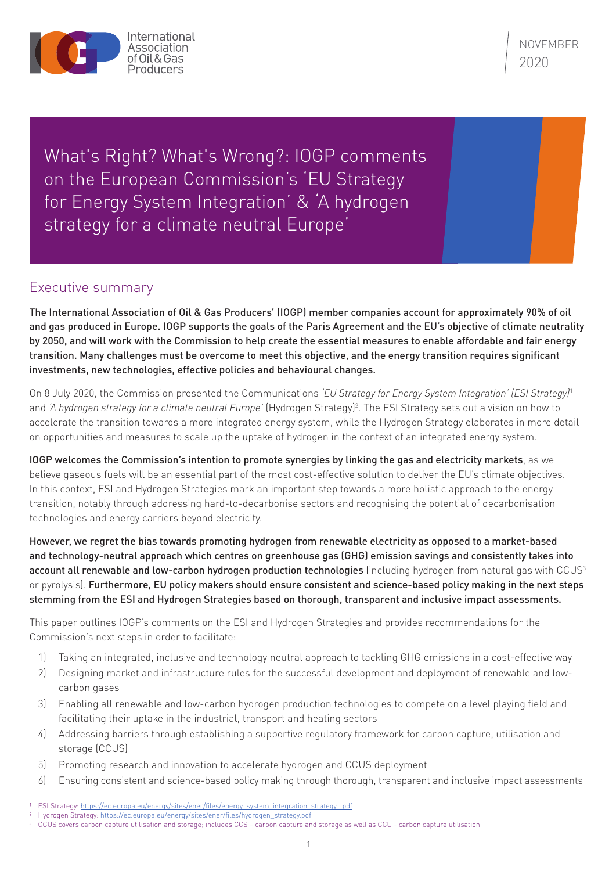

What's Right? What's Wrong?: IOGP comments on the European Commission's 'EU Strategy for Energy System Integration' & 'A hydrogen strategy for a climate neutral Europe'

## Executive summary

The International Association of Oil & Gas Producers' (IOGP) member companies account for approximately 90% of oil and gas produced in Europe. IOGP supports the goals of the Paris Agreement and the EU's objective of climate neutrality by 2050, and will work with the Commission to help create the essential measures to enable affordable and fair energy transition. Many challenges must be overcome to meet this objective, and the energy transition requires significant investments, new technologies, effective policies and behavioural changes.

On 8 July 2020, the Commission presented the Communications *'EU Strategy for Energy System Integration' (ESI Strategy)*<sup>1</sup> and *'A hydrogen strategy for a climate neutral Europe'* (Hydrogen Strategy)2 . The ESI Strategy sets out a vision on how to accelerate the transition towards a more integrated energy system, while the Hydrogen Strategy elaborates in more detail on opportunities and measures to scale up the uptake of hydrogen in the context of an integrated energy system.

IOGP welcomes the Commission's intention to promote synergies by linking the gas and electricity markets, as we believe gaseous fuels will be an essential part of the most cost-effective solution to deliver the EU's climate objectives. In this context, ESI and Hydrogen Strategies mark an important step towards a more holistic approach to the energy transition, notably through addressing hard-to-decarbonise sectors and recognising the potential of decarbonisation technologies and energy carriers beyond electricity.

However, we regret the bias towards promoting hydrogen from renewable electricity as opposed to a market-based and technology-neutral approach which centres on greenhouse gas (GHG) emission savings and consistently takes into account all renewable and low-carbon hydrogen production technologies (including hydrogen from natural gas with CCUS<sup>3</sup> or pyrolysis). Furthermore, EU policy makers should ensure consistent and science-based policy making in the next steps stemming from the ESI and Hydrogen Strategies based on thorough, transparent and inclusive impact assessments.

This paper outlines IOGP's comments on the ESI and Hydrogen Strategies and provides recommendations for the Commission's next steps in order to facilitate:

- 1) Taking an integrated, inclusive and technology neutral approach to tackling GHG emissions in a cost-effective way
- 2) Designing market and infrastructure rules for the successful development and deployment of renewable and lowcarbon gases
- 3) Enabling all renewable and low-carbon hydrogen production technologies to compete on a level playing field and facilitating their uptake in the industrial, transport and heating sectors
- 4) Addressing barriers through establishing a supportive regulatory framework for carbon capture, utilisation and storage (CCUS)
- 5) Promoting research and innovation to accelerate hydrogen and CCUS deployment
- 6) Ensuring consistent and science-based policy making through thorough, transparent and inclusive impact assessments

ESI Strategy: [https://ec.europa.eu/energy/sites/ener/files/energy\\_system\\_integration\\_strategy\\_.pdf](https://ec.europa.eu/energy/sites/ener/files/energy_system_integration_strategy_.pdf)

<sup>&</sup>lt;sup>2</sup> Hydrogen Strategy: [https://ec.europa.eu/energy/sites/ener/files/hydrogen\\_strategy.pdf](https://ec.europa.eu/energy/sites/ener/files/hydrogen_strategy.pdf)

<sup>3</sup> CCUS covers carbon capture utilisation and storage; includes CCS – carbon capture and storage as well as CCU - carbon capture utilisation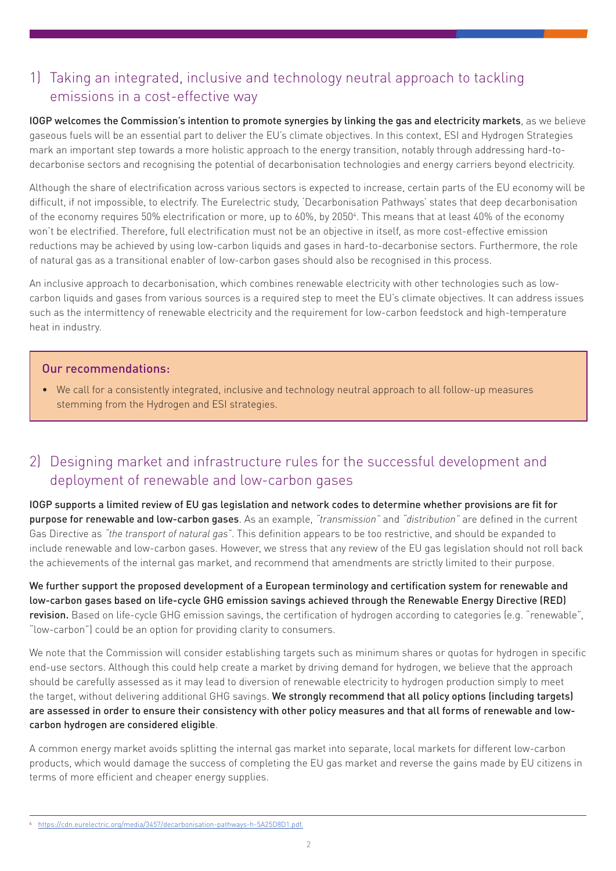# 1) Taking an integrated, inclusive and technology neutral approach to tackling emissions in a cost-effective way

IOGP welcomes the Commission's intention to promote synergies by linking the gas and electricity markets, as we believe gaseous fuels will be an essential part to deliver the EU's climate objectives. In this context, ESI and Hydrogen Strategies mark an important step towards a more holistic approach to the energy transition, notably through addressing hard-todecarbonise sectors and recognising the potential of decarbonisation technologies and energy carriers beyond electricity.

Although the share of electrification across various sectors is expected to increase, certain parts of the EU economy will be difficult, if not impossible, to electrify. The Eurelectric study, 'Decarbonisation Pathways' states that deep decarbonisation of the economy requires 50% electrification or more, up to 60%, by 2050<sup>4</sup>. This means that at least 40% of the economy won't be electrified. Therefore, full electrification must not be an objective in itself, as more cost-effective emission reductions may be achieved by using low-carbon liquids and gases in hard-to-decarbonise sectors. Furthermore, the role of natural gas as a transitional enabler of low-carbon gases should also be recognised in this process.

An inclusive approach to decarbonisation, which combines renewable electricity with other technologies such as lowcarbon liquids and gases from various sources is a required step to meet the EU's climate objectives. It can address issues such as the intermittency of renewable electricity and the requirement for low-carbon feedstock and high-temperature heat in industry.

### Our recommendations:

• We call for a consistently integrated, inclusive and technology neutral approach to all follow-up measures stemming from the Hydrogen and ESI strategies.

# 2) Designing market and infrastructure rules for the successful development and deployment of renewable and low-carbon gases

IOGP supports a limited review of EU gas legislation and network codes to determine whether provisions are fit for purpose for renewable and low-carbon gases. As an example, *"transmission"* and *"distribution"* are defined in the current Gas Directive as *"the transport of natural gas"*. This definition appears to be too restrictive, and should be expanded to include renewable and low-carbon gases. However, we stress that any review of the EU gas legislation should not roll back the achievements of the internal gas market, and recommend that amendments are strictly limited to their purpose.

We further support the proposed development of a European terminology and certification system for renewable and low-carbon gases based on life-cycle GHG emission savings achieved through the Renewable Energy Directive (RED) revision. Based on life-cycle GHG emission savings, the certification of hydrogen according to categories (e.g. "renewable", "low-carbon") could be an option for providing clarity to consumers.

We note that the Commission will consider establishing targets such as minimum shares or quotas for hydrogen in specific end-use sectors. Although this could help create a market by driving demand for hydrogen, we believe that the approach should be carefully assessed as it may lead to diversion of renewable electricity to hydrogen production simply to meet the target, without delivering additional GHG savings. We strongly recommend that all policy options (including targets) are assessed in order to ensure their consistency with other policy measures and that all forms of renewable and lowcarbon hydrogen are considered eligible.

A common energy market avoids splitting the internal gas market into separate, local markets for different low-carbon products, which would damage the success of completing the EU gas market and reverse the gains made by EU citizens in terms of more efficient and cheaper energy supplies.

<sup>4</sup> <https://cdn.eurelectric.org/media/3457/decarbonisation-pathways-h-5A25D8D1.pdf.>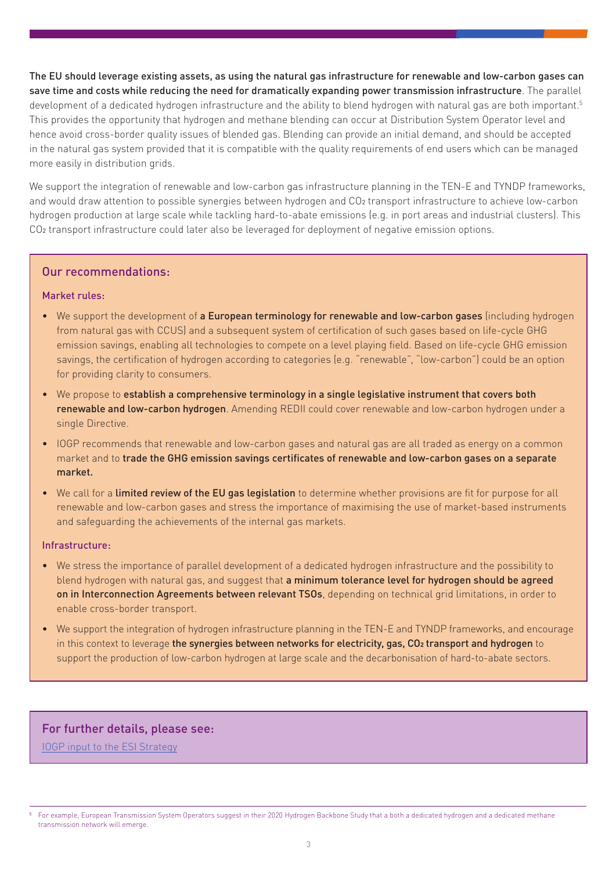The EU should leverage existing assets, as using the natural gas infrastructure for renewable and low-carbon gases can save time and costs while reducing the need for dramatically expanding power transmission infrastructure. The parallel development of a dedicated hydrogen infrastructure and the ability to blend hydrogen with natural gas are both important.<sup>5</sup> This provides the opportunity that hydrogen and methane blending can occur at Distribution System Operator level and hence avoid cross-border quality issues of blended gas. Blending can provide an initial demand, and should be accepted in the natural gas system provided that it is compatible with the quality requirements of end users which can be managed more easily in distribution grids.

We support the integration of renewable and low-carbon gas infrastructure planning in the TEN-E and TYNDP frameworks, and would draw attention to possible synergies between hydrogen and CO2 transport infrastructure to achieve low-carbon hydrogen production at large scale while tackling hard-to-abate emissions (e.g. in port areas and industrial clusters). This CO2 transport infrastructure could later also be leveraged for deployment of negative emission options.

## Our recommendations:

#### Market rules:

- We support the development of a European terminology for renewable and low-carbon gases (including hydrogen from natural gas with CCUS) and a subsequent system of certification of such gases based on life-cycle GHG emission savings, enabling all technologies to compete on a level playing field. Based on life-cycle GHG emission savings, the certification of hydrogen according to categories (e.g. "renewable", "low-carbon") could be an option for providing clarity to consumers.
- We propose to establish a comprehensive terminology in a single legislative instrument that covers both renewable and low-carbon hydrogen. Amending REDII could cover renewable and low-carbon hydrogen under a single Directive.
- IOGP recommends that renewable and low-carbon gases and natural gas are all traded as energy on a common market and to trade the GHG emission savings certificates of renewable and low-carbon gases on a separate market.
- We call for a limited review of the EU gas legislation to determine whether provisions are fit for purpose for all renewable and low-carbon gases and stress the importance of maximising the use of market-based instruments and safeguarding the achievements of the internal gas markets.

#### Infrastructure:

- We stress the importance of parallel development of a dedicated hydrogen infrastructure and the possibility to blend hydrogen with natural gas, and suggest that a minimum tolerance level for hydrogen should be agreed on in Interconnection Agreements between relevant TSOs, depending on technical grid limitations, in order to enable cross-border transport.
- We support the integration of hydrogen infrastructure planning in the TEN-E and TYNDP frameworks, and encourage in this context to leverage the synergies between networks for electricity, gas, CO2 transport and hydrogen to support the production of low-carbon hydrogen at large scale and the decarbonisation of hard-to-abate sectors.

## For further details, please see:

[IOGP input to the ESI Strategy](https://www.oilandgaseurope.org/wp-content/uploads/2020/05/IOGP_Energy-Sector-Integration-__response-consultation.pdf)

<sup>5</sup> For example, European Transmission System Operators suggest in their 2020 Hydrogen Backbone Study that a both a dedicated hydrogen and a dedicated methane transmission network will emerge.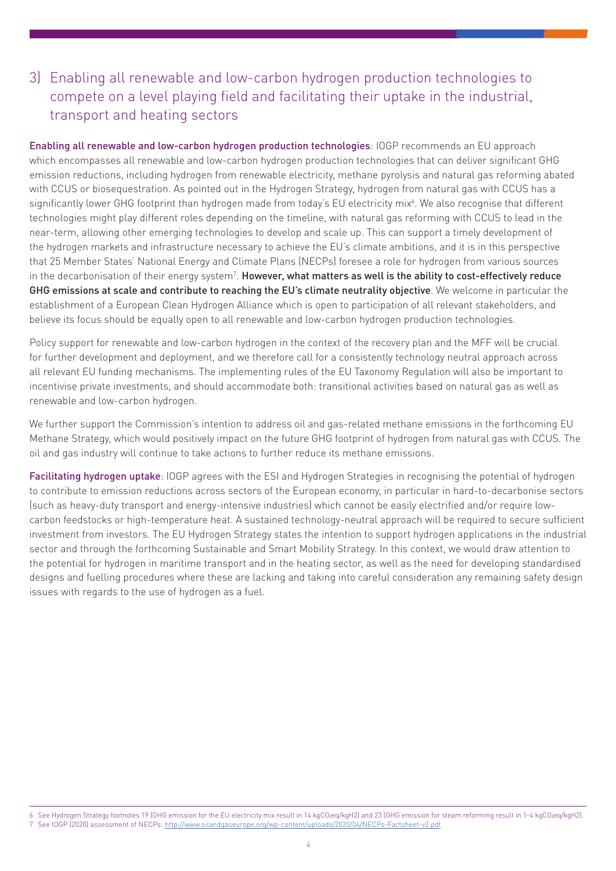# 3) Enabling all renewable and low-carbon hydrogen production technologies to compete on a level playing field and facilitating their uptake in the industrial, transport and heating sectors

Enabling all renewable and low-carbon hydrogen production technologies: IOGP recommends an EU approach which encompasses all renewable and low-carbon hydrogen production technologies that can deliver significant GHG emission reductions, including hydrogen from renewable electricity, methane pyrolysis and natural gas reforming abated with CCUS or biosequestration. As pointed out in the Hydrogen Strategy, hydrogen from natural gas with CCUS has a significantly lower GHG footprint than hydrogen made from today's EU electricity mix6 . We also recognise that different technologies might play different roles depending on the timeline, with natural gas reforming with CCUS to lead in the near-term, allowing other emerging technologies to develop and scale up. This can support a timely development of the hydrogen markets and infrastructure necessary to achieve the EU's climate ambitions, and it is in this perspective that 25 Member States' National Energy and Climate Plans (NECPs) foresee a role for hydrogen from various sources in the decarbonisation of their energy system<sup>7</sup>. **However, what matters as well is the ability to cost-effectively reduce** GHG emissions at scale and contribute to reaching the EU's climate neutrality objective. We welcome in particular the establishment of a European Clean Hydrogen Alliance which is open to participation of all relevant stakeholders, and believe its focus should be equally open to all renewable and low-carbon hydrogen production technologies.

Policy support for renewable and low-carbon hydrogen in the context of the recovery plan and the MFF will be crucial for further development and deployment, and we therefore call for a consistently technology neutral approach across all relevant EU funding mechanisms. The implementing rules of the EU Taxonomy Regulation will also be important to incentivise private investments, and should accommodate both: transitional activities based on natural gas as well as renewable and low-carbon hydrogen.

We further support the Commission's intention to address oil and gas-related methane emissions in the forthcoming EU Methane Strategy, which would positively impact on the future GHG footprint of hydrogen from natural gas with CCUS. The oil and gas industry will continue to take actions to further reduce its methane emissions.

Facilitating hydrogen uptake: IOGP agrees with the ESI and Hydrogen Strategies in recognising the potential of hydrogen to contribute to emission reductions across sectors of the European economy, in particular in hard-to-decarbonise sectors (such as heavy-duty transport and energy-intensive industries) which cannot be easily electrified and/or require lowcarbon feedstocks or high-temperature heat. A sustained technology-neutral approach will be required to secure sufficient investment from investors. The EU Hydrogen Strategy states the intention to support hydrogen applications in the industrial sector and through the forthcoming Sustainable and Smart Mobility Strategy. In this context, we would draw attention to the potential for hydrogen in maritime transport and in the heating sector, as well as the need for developing standardised designs and fuelling procedures where these are lacking and taking into careful consideration any remaining safety design issues with regards to the use of hydrogen as a fuel.

<sup>6</sup> See Hydrogen Strategy footnotes 19 (GHG emission for the EU electricity mix result in 14 kgCO2eq/kgH2) and 23 (GHG emission for steam reforming result in 1-4 kgCO2eq/kgH2). 7 See IOGP (2020) assessment of NECPs:<http://www.oilandgaseurope.org/wp-content/uploads/2020/04/NECPs-Factsheet-v2.pdf>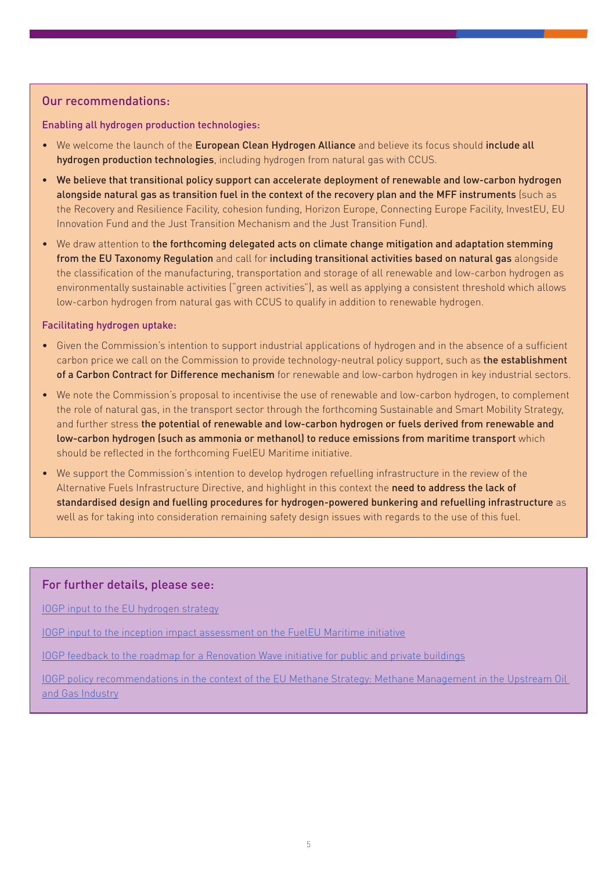## Our recommendations:

Enabling all hydrogen production technologies:

- We welcome the launch of the European Clean Hydrogen Alliance and believe its focus should include all hydrogen production technologies, including hydrogen from natural gas with CCUS.
- We believe that transitional policy support can accelerate deployment of renewable and low-carbon hydrogen alongside natural gas as transition fuel in the context of the recovery plan and the MFF instruments (such as the Recovery and Resilience Facility, cohesion funding, Horizon Europe, Connecting Europe Facility, InvestEU, EU Innovation Fund and the Just Transition Mechanism and the Just Transition Fund).
- We draw attention to the forthcoming delegated acts on climate change mitigation and adaptation stemming from the EU Taxonomy Regulation and call for including transitional activities based on natural gas alongside the classification of the manufacturing, transportation and storage of all renewable and low-carbon hydrogen as environmentally sustainable activities ("green activities"), as well as applying a consistent threshold which allows low-carbon hydrogen from natural gas with CCUS to qualify in addition to renewable hydrogen.

#### Facilitating hydrogen uptake:

- Given the Commission's intention to support industrial applications of hydrogen and in the absence of a sufficient carbon price we call on the Commission to provide technology-neutral policy support, such as the establishment of a Carbon Contract for Difference mechanism for renewable and low-carbon hydrogen in key industrial sectors.
- We note the Commission's proposal to incentivise the use of renewable and low-carbon hydrogen, to complement the role of natural gas, in the transport sector through the forthcoming Sustainable and Smart Mobility Strategy, and further stress the potential of renewable and low-carbon hydrogen or fuels derived from renewable and low-carbon hydrogen (such as ammonia or methanol) to reduce emissions from maritime transport which should be reflected in the forthcoming FuelEU Maritime initiative.
- We support the Commission's intention to develop hydrogen refuelling infrastructure in the review of the Alternative Fuels Infrastructure Directive, and highlight in this context the need to address the lack of standardised design and fuelling procedures for hydrogen-powered bunkering and refuelling infrastructure as well as for taking into consideration remaining safety design issues with regards to the use of this fuel.

### For further details, please see:

[IOGP input to the EU hydrogen strategy](https://www.oilandgaseurope.org/wp-content/uploads/2020/06/Hydrogen-Strategy-paper.pdf)

[IOGP input to the inception impact assessment on the FuelEU Maritime initiative](https://www.oilandgaseurope.org/wp-content/uploads/2020/04/FuelEU-Maritime-Paper.pdf)

[IOGP feedback to the roadmap for a Renovation Wave initiative for public and private buildings](https://www.oilandgaseurope.org/wp-content/uploads/2020/06/Response-to-renovation-wave-roadmap-paper.pdf)

[IOGP policy recommendations in the context of the EU Methane Strategy: Methane Management in the Upstream Oil](https://www.oilandgaseurope.org/wp-content/uploads/2020/04/Methane-Management-paper.pdf)  [and Gas Industry](https://www.oilandgaseurope.org/wp-content/uploads/2020/04/Methane-Management-paper.pdf)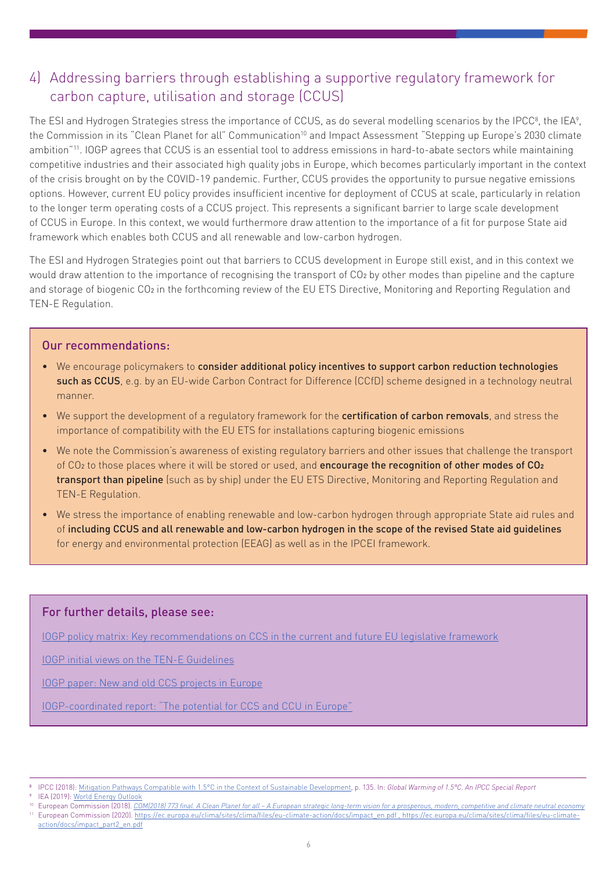# 4) Addressing barriers through establishing a supportive regulatory framework for carbon capture, utilisation and storage (CCUS)

The ESI and Hydrogen Strategies stress the importance of CCUS, as do several modelling scenarios by the IPCC $^{\rm 8}$ , the IEA $^{\rm 9}$ , the Commission in its "Clean Planet for all" Communication<sup>10</sup> and Impact Assessment "Stepping up Europe's 2030 climate ambition"11. IOGP agrees that CCUS is an essential tool to address emissions in hard-to-abate sectors while maintaining competitive industries and their associated high quality jobs in Europe, which becomes particularly important in the context of the crisis brought on by the COVID-19 pandemic. Further, CCUS provides the opportunity to pursue negative emissions options. However, current EU policy provides insufficient incentive for deployment of CCUS at scale, particularly in relation to the longer term operating costs of a CCUS project. This represents a significant barrier to large scale development of CCUS in Europe. In this context, we would furthermore draw attention to the importance of a fit for purpose State aid framework which enables both CCUS and all renewable and low-carbon hydrogen.

The ESI and Hydrogen Strategies point out that barriers to CCUS development in Europe still exist, and in this context we would draw attention to the importance of recognising the transport of CO2 by other modes than pipeline and the capture and storage of biogenic CO<sub>2</sub> in the forthcoming review of the EU ETS Directive, Monitoring and Reporting Regulation and TEN-E Regulation.

### Our recommendations:

- We encourage policymakers to consider additional policy incentives to support carbon reduction technologies such as CCUS, e.g. by an EU-wide Carbon Contract for Difference (CCfD) scheme designed in a technology neutral manner.
- We support the development of a regulatory framework for the certification of carbon removals, and stress the importance of compatibility with the EU ETS for installations capturing biogenic emissions
- We note the Commission's awareness of existing regulatory barriers and other issues that challenge the transport of CO<sub>2</sub> to those places where it will be stored or used, and encourage the recognition of other modes of CO<sub>2</sub> transport than pipeline (such as by ship) under the EU ETS Directive, Monitoring and Reporting Regulation and TEN-E Regulation.
- We stress the importance of enabling renewable and low-carbon hydrogen through appropriate State aid rules and of including CCUS and all renewable and low-carbon hydrogen in the scope of the revised State aid guidelines for energy and environmental protection (EEAG) as well as in the IPCEI framework.

## For further details, please see:

[IOGP policy matrix: Key recommendations on CCS in the current and future EU legislative framework](https://www.oilandgaseurope.org/wp-content/uploads/2020/04/CCS-in-the-current-and-future-EU-legislation-paper.pdf)

[IOGP initial views on the TEN-E Guidelines](https://www.oilandgaseurope.org/wp-content/uploads/2020/04/IOGP-initial-views-on-TEN-E-guidelines-paper.pdf)

[IOGP paper: New and old CCS projects in Europe](https://www.oilandgaseurope.org/wp-content/uploads/2020/04/New-and-old-CCS-projects-in-Europe-paper.pdf)

[IOGP-coordinated report: "The potential for CCS and CCU in Europe"](https://ec.europa.eu/info/sites/info/files/iogp_-_report_-_ccs_ccu.pdf)

<sup>10</sup> European Commission (2018). *[COM\(2018\) 773 final. A Clean Planet for all – A European strategic long-term vision for a prosperous, modern, competitive and climate neutral economy](https://ec.europa.eu/clima/sites/clima/files/docs/pages/com_2018_733_en.pdf)*

<sup>8</sup> IPCC (2018): [Mitigation Pathways Compatible with 1.5°C in the Context of Sustainable Development](https://www.ipcc.ch/site/assets/uploads/sites/2/2019/02/SR15_Chapter2_Low_Res.pdf), p. 135. In: *Global Warming of 1.5°C. An IPCC Special Report*

IEA (2019): [World Energy Outlook](https://www.iea.org/reports/world-energy-outlook-2019)

<sup>&</sup>lt;sup>11</sup> European Commission (2020). [https://ec.europa.eu/clima/sites/clima/files/eu-climate-action/docs/impact\\_en.pdf , https://ec.europa.eu/clima/sites/clima/files/eu-climate](https://ec.europa.eu/clima/sites/clima/files/eu-climate-action/docs/impact_en.pdf , https://ec.europa.eu/clima/sites/clima/files/eu-climate-action/docs/impact_part2_en.pdf)[action/docs/impact\\_part2\\_en.pdf](https://ec.europa.eu/clima/sites/clima/files/eu-climate-action/docs/impact_en.pdf , https://ec.europa.eu/clima/sites/clima/files/eu-climate-action/docs/impact_part2_en.pdf)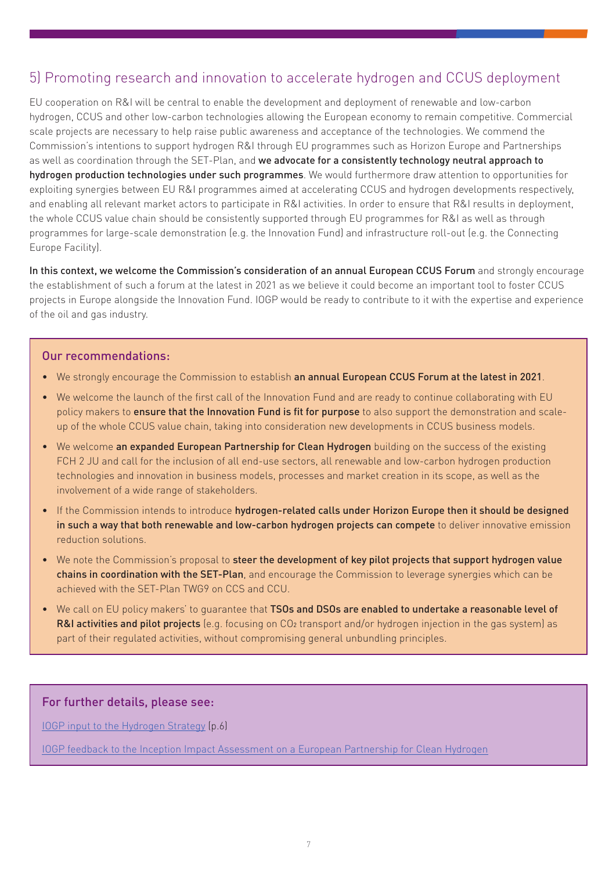## 5) Promoting research and innovation to accelerate hydrogen and CCUS deployment

EU cooperation on R&I will be central to enable the development and deployment of renewable and low-carbon hydrogen, CCUS and other low-carbon technologies allowing the European economy to remain competitive. Commercial scale projects are necessary to help raise public awareness and acceptance of the technologies. We commend the Commission's intentions to support hydrogen R&I through EU programmes such as Horizon Europe and Partnerships as well as coordination through the SET-Plan, and we advocate for a consistently technology neutral approach to hydrogen production technologies under such programmes. We would furthermore draw attention to opportunities for exploiting synergies between EU R&I programmes aimed at accelerating CCUS and hydrogen developments respectively, and enabling all relevant market actors to participate in R&I activities. In order to ensure that R&I results in deployment, the whole CCUS value chain should be consistently supported through EU programmes for R&I as well as through programmes for large-scale demonstration (e.g. the Innovation Fund) and infrastructure roll-out (e.g. the Connecting Europe Facility).

In this context, we welcome the Commission's consideration of an annual European CCUS Forum and strongly encourage the establishment of such a forum at the latest in 2021 as we believe it could become an important tool to foster CCUS projects in Europe alongside the Innovation Fund. IOGP would be ready to contribute to it with the expertise and experience of the oil and gas industry.

### Our recommendations:

- We strongly encourage the Commission to establish an annual European CCUS Forum at the latest in 2021.
- We welcome the launch of the first call of the Innovation Fund and are ready to continue collaborating with EU policy makers to ensure that the Innovation Fund is fit for purpose to also support the demonstration and scaleup of the whole CCUS value chain, taking into consideration new developments in CCUS business models.
- We welcome an expanded European Partnership for Clean Hydrogen building on the success of the existing FCH 2 JU and call for the inclusion of all end-use sectors, all renewable and low-carbon hydrogen production technologies and innovation in business models, processes and market creation in its scope, as well as the involvement of a wide range of stakeholders.
- If the Commission intends to introduce hydrogen-related calls under Horizon Europe then it should be designed in such a way that both renewable and low-carbon hydrogen projects can compete to deliver innovative emission reduction solutions.
- We note the Commission's proposal to steer the development of key pilot projects that support hydrogen value chains in coordination with the SET-Plan, and encourage the Commission to leverage synergies which can be achieved with the SET-Plan TWG9 on CCS and CCU.
- We call on EU policy makers' to quarantee that TSOs and DSOs are enabled to undertake a reasonable level of R&I activities and pilot projects (e.g. focusing on CO<sub>2</sub> transport and/or hydrogen injection in the gas system) as part of their regulated activities, without compromising general unbundling principles.

## For further details, please see:

[IOGP input to the Hydrogen Strategy](https://www.oilandgaseurope.org/wp-content/uploads/2020/06/Hydrogen-Strategy-paper.pdf) (p.6)

[IOGP feedback to the Inception Impact Assessment on a European Partnership for Clean Hydrogen](https://ec.europa.eu/info/law/better-regulation/have-your-say/initiatives/11902-European-Partnership-for-Clean-Hydrogen/F472583?p_id=5722302)